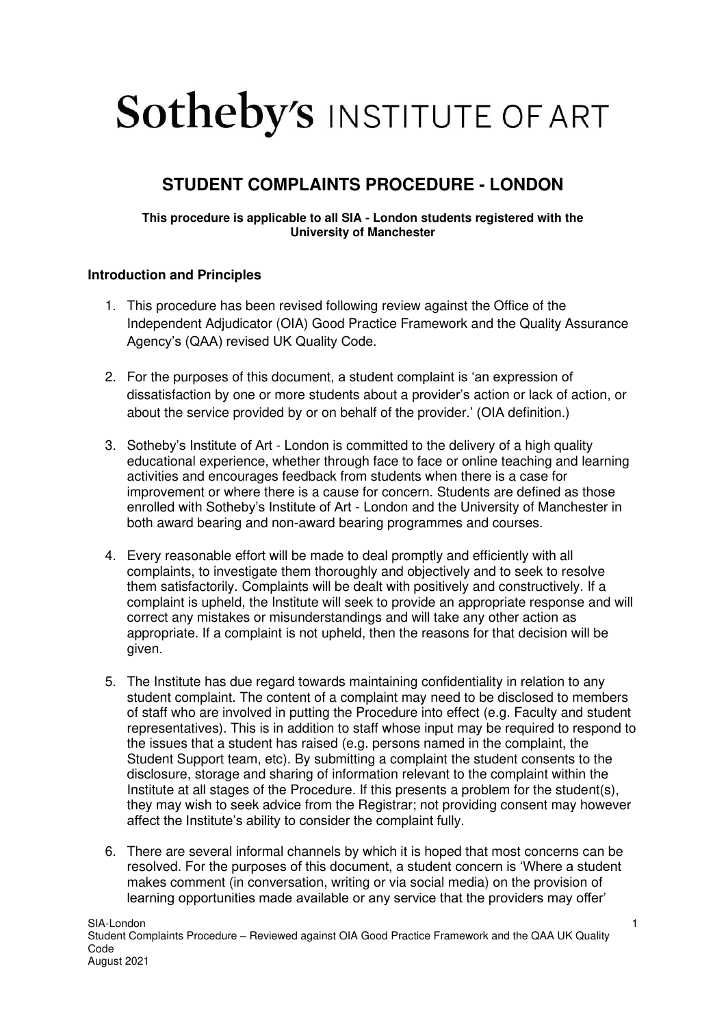# **Sotheby's INSTITUTE OF ART**

# **STUDENT COMPLAINTS PROCEDURE - LONDON**

#### **This procedure is applicable to all SIA - London students registered with the University of Manchester**

## **Introduction and Principles**

- 1. This procedure has been revised following review against the Office of the Independent Adjudicator (OIA) Good Practice Framework and the Quality Assurance Agency's (QAA) revised UK Quality Code.
- 2. For the purposes of this document, a student complaint is 'an expression of dissatisfaction by one or more students about a provider's action or lack of action, or about the service provided by or on behalf of the provider.' (OIA definition.)
- 3. Sotheby's Institute of Art London is committed to the delivery of a high quality educational experience, whether through face to face or online teaching and learning activities and encourages feedback from students when there is a case for improvement or where there is a cause for concern. Students are defined as those enrolled with Sotheby's Institute of Art - London and the University of Manchester in both award bearing and non-award bearing programmes and courses.
- 4. Every reasonable effort will be made to deal promptly and efficiently with all complaints, to investigate them thoroughly and objectively and to seek to resolve them satisfactorily. Complaints will be dealt with positively and constructively. If a complaint is upheld, the Institute will seek to provide an appropriate response and will correct any mistakes or misunderstandings and will take any other action as appropriate. If a complaint is not upheld, then the reasons for that decision will be given.
- 5. The Institute has due regard towards maintaining confidentiality in relation to any student complaint. The content of a complaint may need to be disclosed to members of staff who are involved in putting the Procedure into effect (e.g. Faculty and student representatives). This is in addition to staff whose input may be required to respond to the issues that a student has raised (e.g. persons named in the complaint, the Student Support team, etc). By submitting a complaint the student consents to the disclosure, storage and sharing of information relevant to the complaint within the Institute at all stages of the Procedure. If this presents a problem for the student(s), they may wish to seek advice from the Registrar; not providing consent may however affect the Institute's ability to consider the complaint fully.
- 6. There are several informal channels by which it is hoped that most concerns can be resolved. For the purposes of this document, a student concern is 'Where a student makes comment (in conversation, writing or via social media) on the provision of learning opportunities made available or any service that the providers may offer'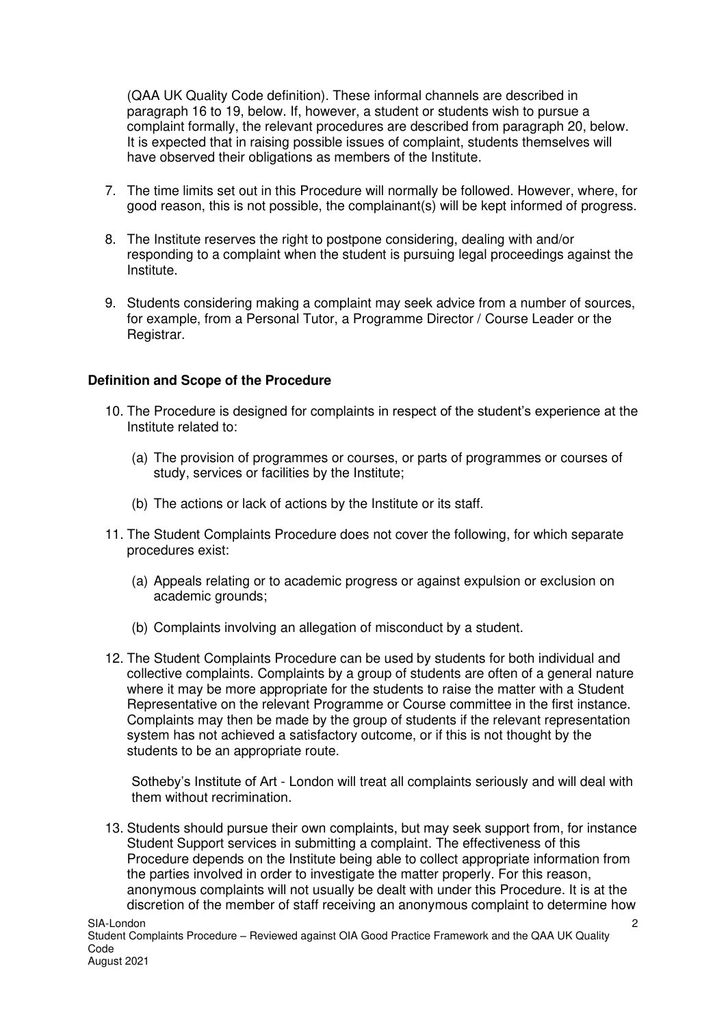(QAA UK Quality Code definition). These informal channels are described in paragraph 16 to 19, below. If, however, a student or students wish to pursue a complaint formally, the relevant procedures are described from paragraph 20, below. It is expected that in raising possible issues of complaint, students themselves will have observed their obligations as members of the Institute.

- 7. The time limits set out in this Procedure will normally be followed. However, where, for good reason, this is not possible, the complainant(s) will be kept informed of progress.
- 8. The Institute reserves the right to postpone considering, dealing with and/or responding to a complaint when the student is pursuing legal proceedings against the Institute.
- 9. Students considering making a complaint may seek advice from a number of sources, for example, from a Personal Tutor, a Programme Director / Course Leader or the Registrar.

#### **Definition and Scope of the Procedure**

- 10. The Procedure is designed for complaints in respect of the student's experience at the Institute related to:
	- (a) The provision of programmes or courses, or parts of programmes or courses of study, services or facilities by the Institute;
	- (b) The actions or lack of actions by the Institute or its staff.
- 11. The Student Complaints Procedure does not cover the following, for which separate procedures exist:
	- (a) Appeals relating or to academic progress or against expulsion or exclusion on academic grounds:
	- (b) Complaints involving an allegation of misconduct by a student.
- 12. The Student Complaints Procedure can be used by students for both individual and collective complaints. Complaints by a group of students are often of a general nature where it may be more appropriate for the students to raise the matter with a Student Representative on the relevant Programme or Course committee in the first instance. Complaints may then be made by the group of students if the relevant representation system has not achieved a satisfactory outcome, or if this is not thought by the students to be an appropriate route.

Sotheby's Institute of Art - London will treat all complaints seriously and will deal with them without recrimination.

13. Students should pursue their own complaints, but may seek support from, for instance Student Support services in submitting a complaint. The effectiveness of this Procedure depends on the Institute being able to collect appropriate information from the parties involved in order to investigate the matter properly. For this reason, anonymous complaints will not usually be dealt with under this Procedure. It is at the discretion of the member of staff receiving an anonymous complaint to determine how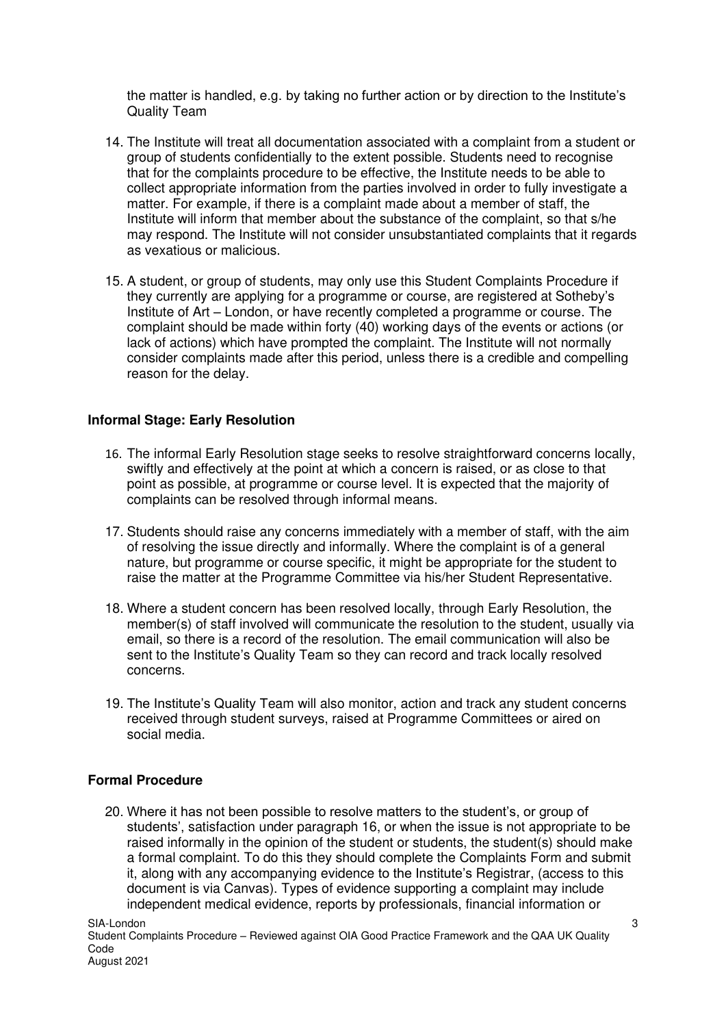the matter is handled, e.g. by taking no further action or by direction to the Institute's Quality Team

- 14. The Institute will treat all documentation associated with a complaint from a student or group of students confidentially to the extent possible. Students need to recognise that for the complaints procedure to be effective, the Institute needs to be able to collect appropriate information from the parties involved in order to fully investigate a matter. For example, if there is a complaint made about a member of staff, the Institute will inform that member about the substance of the complaint, so that s/he may respond. The Institute will not consider unsubstantiated complaints that it regards as vexatious or malicious.
- 15. A student, or group of students, may only use this Student Complaints Procedure if they currently are applying for a programme or course, are registered at Sotheby's Institute of Art – London, or have recently completed a programme or course. The complaint should be made within forty (40) working days of the events or actions (or lack of actions) which have prompted the complaint. The Institute will not normally consider complaints made after this period, unless there is a credible and compelling reason for the delay.

#### **Informal Stage: Early Resolution**

- 16. The informal Early Resolution stage seeks to resolve straightforward concerns locally, swiftly and effectively at the point at which a concern is raised, or as close to that point as possible, at programme or course level. It is expected that the majority of complaints can be resolved through informal means.
- 17. Students should raise any concerns immediately with a member of staff, with the aim of resolving the issue directly and informally. Where the complaint is of a general nature, but programme or course specific, it might be appropriate for the student to raise the matter at the Programme Committee via his/her Student Representative.
- 18. Where a student concern has been resolved locally, through Early Resolution, the member(s) of staff involved will communicate the resolution to the student, usually via email, so there is a record of the resolution. The email communication will also be sent to the Institute's Quality Team so they can record and track locally resolved concerns.
- 19. The Institute's Quality Team will also monitor, action and track any student concerns received through student surveys, raised at Programme Committees or aired on social media.

#### **Formal Procedure**

20. Where it has not been possible to resolve matters to the student's, or group of students', satisfaction under paragraph 16, or when the issue is not appropriate to be raised informally in the opinion of the student or students, the student(s) should make a formal complaint. To do this they should complete the Complaints Form and submit it, along with any accompanying evidence to the Institute's Registrar, (access to this document is via Canvas). Types of evidence supporting a complaint may include independent medical evidence, reports by professionals, financial information or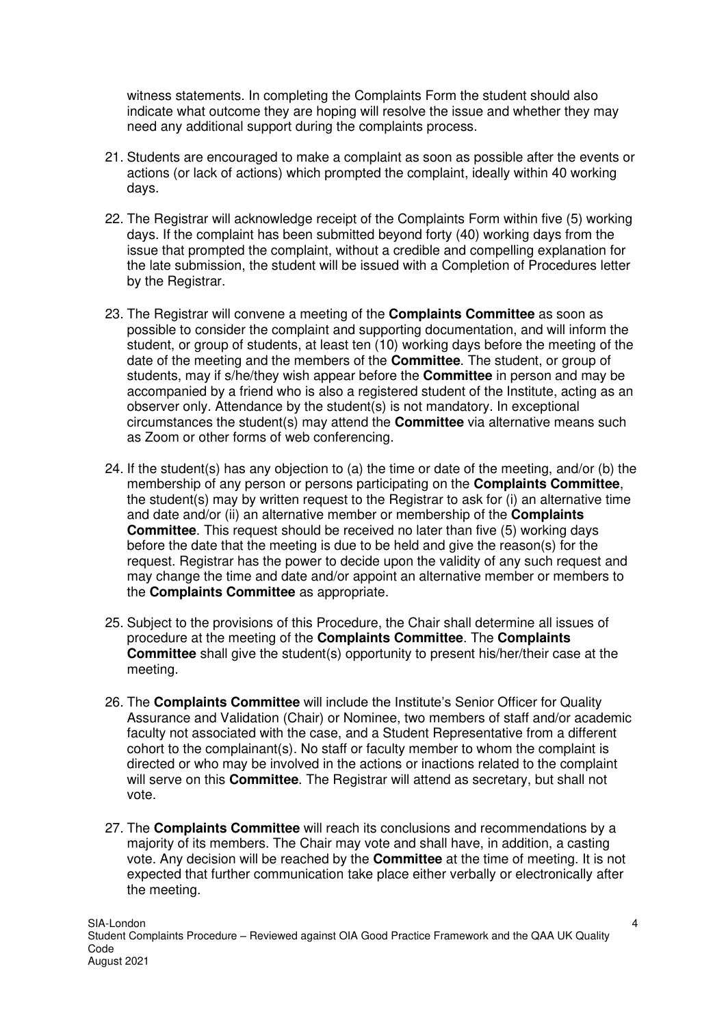witness statements. In completing the Complaints Form the student should also indicate what outcome they are hoping will resolve the issue and whether they may need any additional support during the complaints process.

- 21. Students are encouraged to make a complaint as soon as possible after the events or actions (or lack of actions) which prompted the complaint, ideally within 40 working days.
- 22. The Registrar will acknowledge receipt of the Complaints Form within five (5) working days. If the complaint has been submitted beyond forty (40) working days from the issue that prompted the complaint, without a credible and compelling explanation for the late submission, the student will be issued with a Completion of Procedures letter by the Registrar.
- 23. The Registrar will convene a meeting of the **Complaints Committee** as soon as possible to consider the complaint and supporting documentation, and will inform the student, or group of students, at least ten (10) working days before the meeting of the date of the meeting and the members of the **Committee**. The student, or group of students, may if s/he/they wish appear before the **Committee** in person and may be accompanied by a friend who is also a registered student of the Institute, acting as an observer only. Attendance by the student(s) is not mandatory. In exceptional circumstances the student(s) may attend the **Committee** via alternative means such as Zoom or other forms of web conferencing.
- 24. If the student(s) has any objection to (a) the time or date of the meeting, and/or (b) the membership of any person or persons participating on the **Complaints Committee**, the student(s) may by written request to the Registrar to ask for (i) an alternative time and date and/or (ii) an alternative member or membership of the **Complaints Committee**. This request should be received no later than five (5) working days before the date that the meeting is due to be held and give the reason(s) for the request. Registrar has the power to decide upon the validity of any such request and may change the time and date and/or appoint an alternative member or members to the **Complaints Committee** as appropriate.
- 25. Subject to the provisions of this Procedure, the Chair shall determine all issues of procedure at the meeting of the **Complaints Committee**. The **Complaints Committee** shall give the student(s) opportunity to present his/her/their case at the meeting.
- 26. The **Complaints Committee** will include the Institute's Senior Officer for Quality Assurance and Validation (Chair) or Nominee, two members of staff and/or academic faculty not associated with the case, and a Student Representative from a different cohort to the complainant(s). No staff or faculty member to whom the complaint is directed or who may be involved in the actions or inactions related to the complaint will serve on this **Committee**. The Registrar will attend as secretary, but shall not vote.
- 27. The **Complaints Committee** will reach its conclusions and recommendations by a majority of its members. The Chair may vote and shall have, in addition, a casting vote. Any decision will be reached by the **Committee** at the time of meeting. It is not expected that further communication take place either verbally or electronically after the meeting.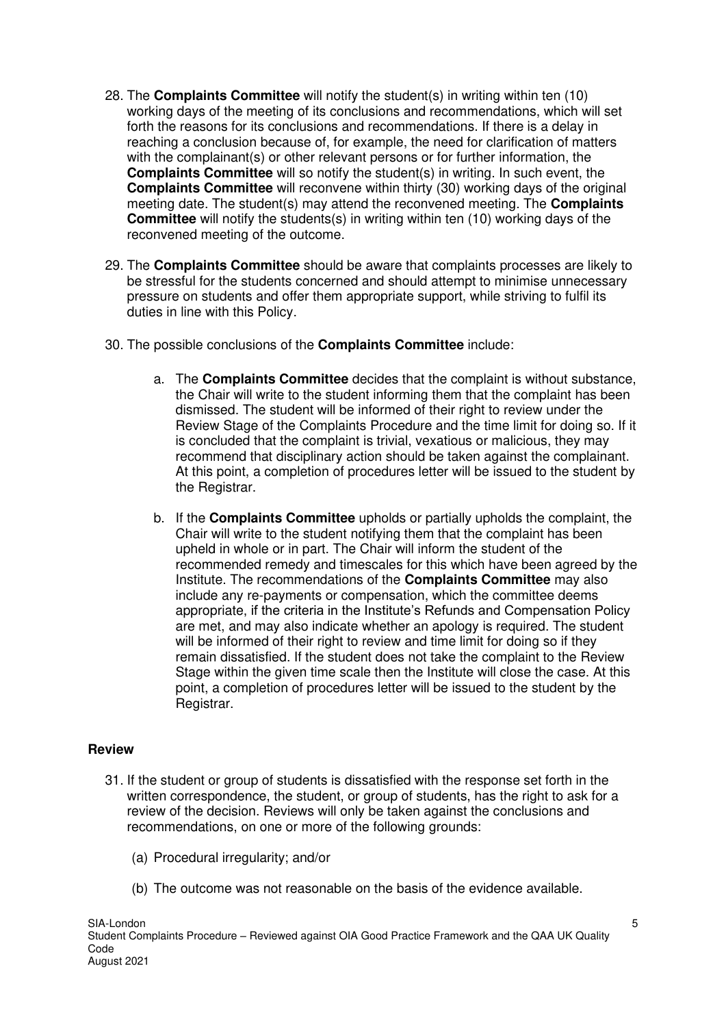- 28. The **Complaints Committee** will notify the student(s) in writing within ten (10) working days of the meeting of its conclusions and recommendations, which will set forth the reasons for its conclusions and recommendations. If there is a delay in reaching a conclusion because of, for example, the need for clarification of matters with the complainant(s) or other relevant persons or for further information, the **Complaints Committee** will so notify the student(s) in writing. In such event, the **Complaints Committee** will reconvene within thirty (30) working days of the original meeting date. The student(s) may attend the reconvened meeting. The **Complaints Committee** will notify the students(s) in writing within ten (10) working days of the reconvened meeting of the outcome.
- 29. The **Complaints Committee** should be aware that complaints processes are likely to be stressful for the students concerned and should attempt to minimise unnecessary pressure on students and offer them appropriate support, while striving to fulfil its duties in line with this Policy.
- 30. The possible conclusions of the **Complaints Committee** include:
	- a. The **Complaints Committee** decides that the complaint is without substance, the Chair will write to the student informing them that the complaint has been dismissed. The student will be informed of their right to review under the Review Stage of the Complaints Procedure and the time limit for doing so. If it is concluded that the complaint is trivial, vexatious or malicious, they may recommend that disciplinary action should be taken against the complainant. At this point, a completion of procedures letter will be issued to the student by the Registrar.
	- b. If the **Complaints Committee** upholds or partially upholds the complaint, the Chair will write to the student notifying them that the complaint has been upheld in whole or in part. The Chair will inform the student of the recommended remedy and timescales for this which have been agreed by the Institute. The recommendations of the **Complaints Committee** may also include any re-payments or compensation, which the committee deems appropriate, if the criteria in the Institute's Refunds and Compensation Policy are met, and may also indicate whether an apology is required. The student will be informed of their right to review and time limit for doing so if they remain dissatisfied. If the student does not take the complaint to the Review Stage within the given time scale then the Institute will close the case. At this point, a completion of procedures letter will be issued to the student by the Registrar.

### **Review**

- 31. If the student or group of students is dissatisfied with the response set forth in the written correspondence, the student, or group of students, has the right to ask for a review of the decision. Reviews will only be taken against the conclusions and recommendations, on one or more of the following grounds:
	- (a) Procedural irregularity; and/or
	- (b) The outcome was not reasonable on the basis of the evidence available.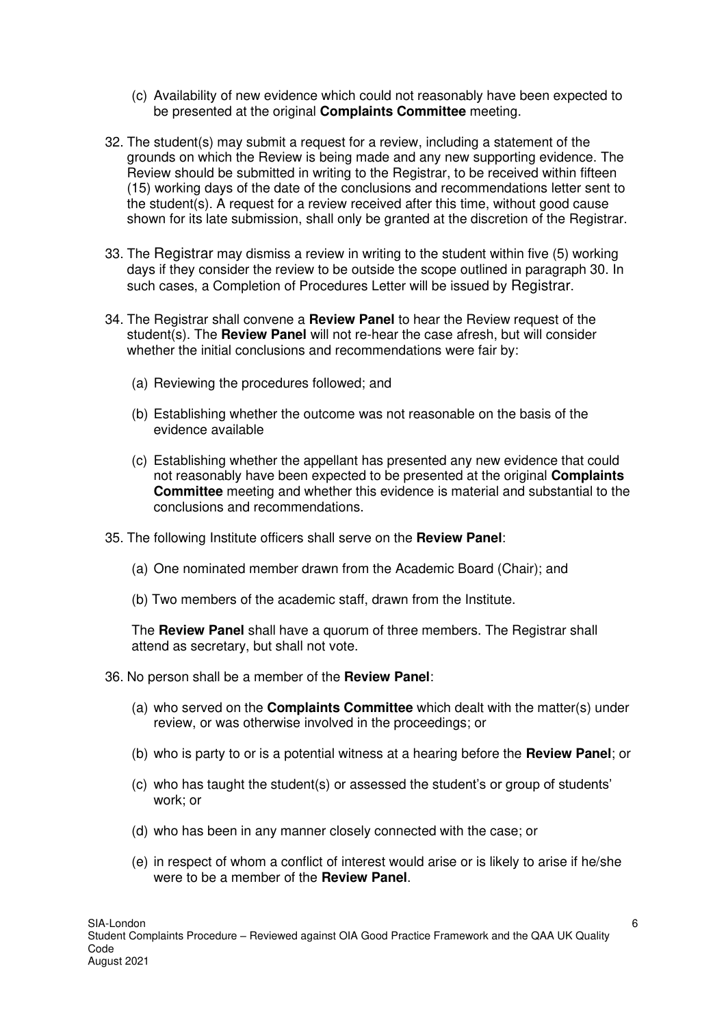- (c) Availability of new evidence which could not reasonably have been expected to be presented at the original **Complaints Committee** meeting.
- 32. The student(s) may submit a request for a review, including a statement of the grounds on which the Review is being made and any new supporting evidence. The Review should be submitted in writing to the Registrar, to be received within fifteen (15) working days of the date of the conclusions and recommendations letter sent to the student(s). A request for a review received after this time, without good cause shown for its late submission, shall only be granted at the discretion of the Registrar.
- 33. The Registrar may dismiss a review in writing to the student within five (5) working days if they consider the review to be outside the scope outlined in paragraph 30. In such cases, a Completion of Procedures Letter will be issued by Registrar.
- 34. The Registrar shall convene a **Review Panel** to hear the Review request of the student(s). The **Review Panel** will not re-hear the case afresh, but will consider whether the initial conclusions and recommendations were fair by:
	- (a) Reviewing the procedures followed; and
	- (b) Establishing whether the outcome was not reasonable on the basis of the evidence available
	- (c) Establishing whether the appellant has presented any new evidence that could not reasonably have been expected to be presented at the original **Complaints Committee** meeting and whether this evidence is material and substantial to the conclusions and recommendations.
- 35. The following Institute officers shall serve on the **Review Panel**:
	- (a) One nominated member drawn from the Academic Board (Chair); and
	- (b) Two members of the academic staff, drawn from the Institute.

The **Review Panel** shall have a quorum of three members. The Registrar shall attend as secretary, but shall not vote.

- 36. No person shall be a member of the **Review Panel**:
	- (a) who served on the **Complaints Committee** which dealt with the matter(s) under review, or was otherwise involved in the proceedings; or
	- (b) who is party to or is a potential witness at a hearing before the **Review Panel**; or
	- (c) who has taught the student(s) or assessed the student's or group of students' work; or
	- (d) who has been in any manner closely connected with the case; or
	- (e) in respect of whom a conflict of interest would arise or is likely to arise if he/she were to be a member of the **Review Panel**.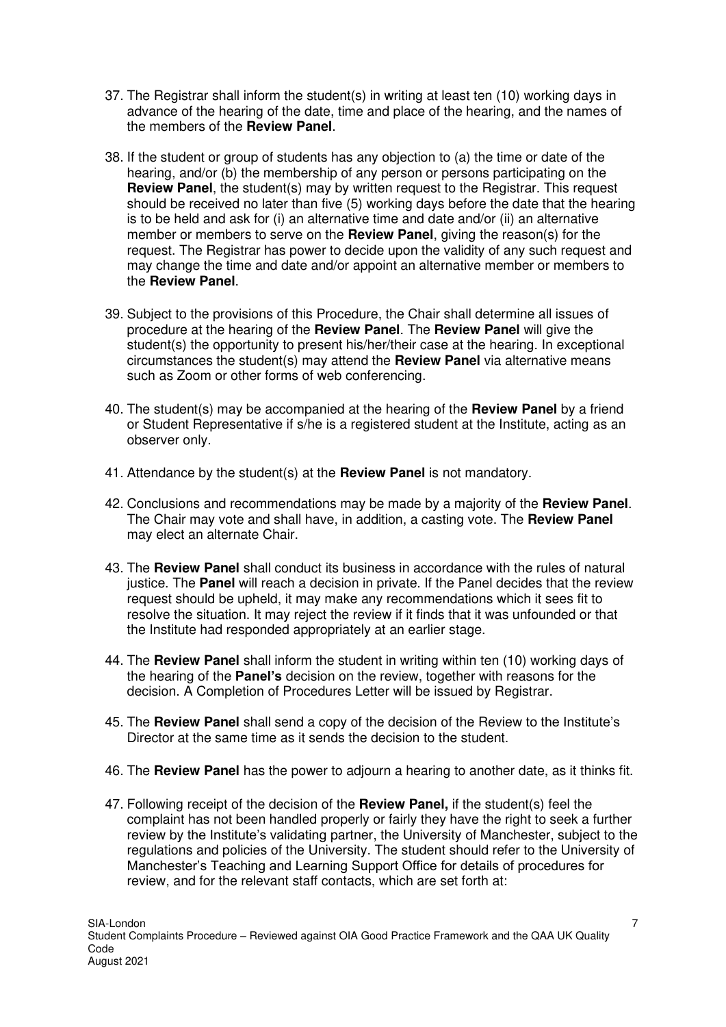- 37. The Registrar shall inform the student(s) in writing at least ten (10) working days in advance of the hearing of the date, time and place of the hearing, and the names of the members of the **Review Panel**.
- 38. If the student or group of students has any objection to (a) the time or date of the hearing, and/or (b) the membership of any person or persons participating on the **Review Panel**, the student(s) may by written request to the Registrar. This request should be received no later than five (5) working days before the date that the hearing is to be held and ask for (i) an alternative time and date and/or (ii) an alternative member or members to serve on the **Review Panel**, giving the reason(s) for the request. The Registrar has power to decide upon the validity of any such request and may change the time and date and/or appoint an alternative member or members to the **Review Panel**.
- 39. Subject to the provisions of this Procedure, the Chair shall determine all issues of procedure at the hearing of the **Review Panel**. The **Review Panel** will give the student(s) the opportunity to present his/her/their case at the hearing. In exceptional circumstances the student(s) may attend the **Review Panel** via alternative means such as Zoom or other forms of web conferencing.
- 40. The student(s) may be accompanied at the hearing of the **Review Panel** by a friend or Student Representative if s/he is a registered student at the Institute, acting as an observer only.
- 41. Attendance by the student(s) at the **Review Panel** is not mandatory.
- 42. Conclusions and recommendations may be made by a majority of the **Review Panel**. The Chair may vote and shall have, in addition, a casting vote. The **Review Panel**  may elect an alternate Chair.
- 43. The **Review Panel** shall conduct its business in accordance with the rules of natural justice. The **Panel** will reach a decision in private. If the Panel decides that the review request should be upheld, it may make any recommendations which it sees fit to resolve the situation. It may reject the review if it finds that it was unfounded or that the Institute had responded appropriately at an earlier stage.
- 44. The **Review Panel** shall inform the student in writing within ten (10) working days of the hearing of the **Panel's** decision on the review, together with reasons for the decision. A Completion of Procedures Letter will be issued by Registrar.
- 45. The **Review Panel** shall send a copy of the decision of the Review to the Institute's Director at the same time as it sends the decision to the student.
- 46. The **Review Panel** has the power to adjourn a hearing to another date, as it thinks fit.
- 47. Following receipt of the decision of the **Review Panel,** if the student(s) feel the complaint has not been handled properly or fairly they have the right to seek a further review by the Institute's validating partner, the University of Manchester, subject to the regulations and policies of the University. The student should refer to the University of Manchester's Teaching and Learning Support Office for details of procedures for review, and for the relevant staff contacts, which are set forth at: